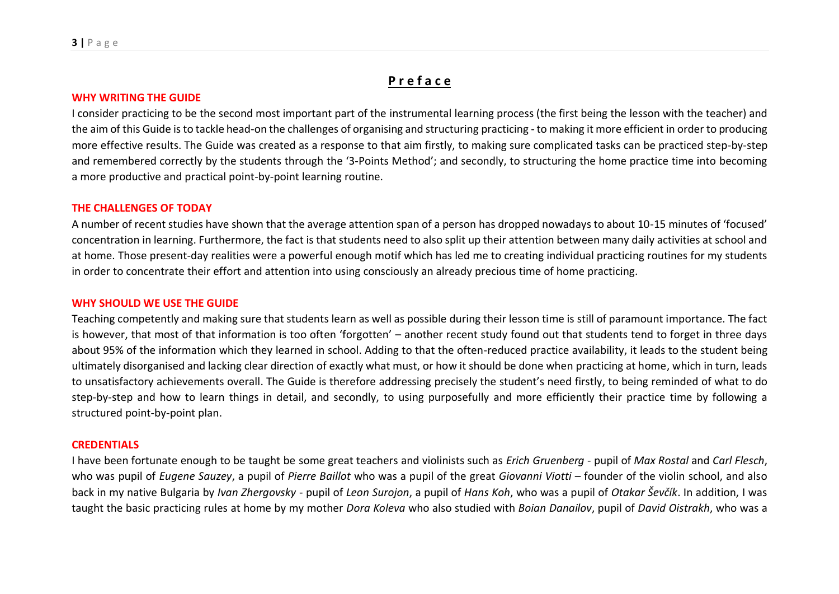# **P r e f a c e**

#### **WHY WRITING THE GUIDE**

I consider practicing to be the second most important part of the instrumental learning process (the first being the lesson with the teacher) and the aim of this Guide is to tackle head-on the challenges of organising and structuring practicing - to making it more efficient in order to producing more effective results. The Guide was created as a response to that aim firstly, to making sure complicated tasks can be practiced step-by-step and remembered correctly by the students through the '3-Points Method'; and secondly, to structuring the home practice time into becoming a more productive and practical point-by-point learning routine.

#### **THE CHALLENGES OF TODAY**

A number of recent studies have shown that the average attention span of a person has dropped nowadays to about 10-15 minutes of 'focused' concentration in learning. Furthermore, the fact is that students need to also split up their attention between many daily activities at school and at home. Those present-day realities were a powerful enough motif which has led me to creating individual practicing routines for my students in order to concentrate their effort and attention into using consciously an already precious time of home practicing.

#### **WHY SHOULD WE USE THE GUIDE**

Teaching competently and making sure that students learn as well as possible during their lesson time is still of paramount importance. The fact is however, that most of that information is too often 'forgotten' – another recent study found out that students tend to forget in three days about 95% of the information which they learned in school. Adding to that the often-reduced practice availability, it leads to the student being ultimately disorganised and lacking clear direction of exactly what must, or how it should be done when practicing at home, which in turn, leads to unsatisfactory achievements overall. The Guide is therefore addressing precisely the student's need firstly, to being reminded of what to do step-by-step and how to learn things in detail, and secondly, to using purposefully and more efficiently their practice time by following a structured point-by-point plan.

#### **CREDENTIALS**

I have been fortunate enough to be taught be some great teachers and violinists such as *Erich Gruenberg* - pupil of *Max Rostal* and *Carl Flesch*, who was pupil of *Eugene Sauzey*, a pupil of *Pierre Baillot* who was a pupil of the great *Giovanni Viotti* – founder of the violin school, and also back in my native Bulgaria by *Ivan Zhergovsky* - pupil of *Leon Surojon*, a pupil of *Hans Koh*, who was a pupil of *Otakar Ševčík*. In addition, I was taught the basic practicing rules at home by my mother *Dora Koleva* who also studied with *Boian Danailov*, pupil of *David Oistrakh*, who was a